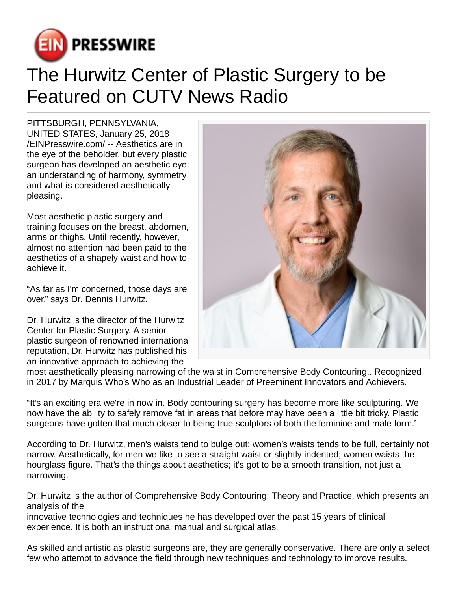

## The Hurwitz Center of Plastic Surgery to be Featured on CUTV News Radio

PITTSBURGH, PENNSYLVANIA, UNITED STATES, January 25, 2018 [/EINPresswire.com](http://www.einpresswire.com)/ -- Aesthetics are in the eye of the beholder, but every plastic surgeon has developed an aesthetic eye: an understanding of harmony, symmetry and what is considered aesthetically pleasing.

Most aesthetic plastic surgery and training focuses on the breast, abdomen, arms or thighs. Until recently, however, almost no attention had been paid to the aesthetics of a shapely waist and how to achieve it.

"As far as I'm concerned, those days are over," says Dr. Dennis Hurwitz.

Dr. Hurwitz is the director of the Hurwitz Center for Plastic Surgery. A senior plastic surgeon of renowned international reputation, Dr. Hurwitz has published his an innovative approach to achieving the



most aesthetically pleasing narrowing of the waist in Comprehensive Body Contouring.. Recognized in 2017 by Marquis Who's Who as an Industrial Leader of Preeminent Innovators and Achievers.

"It's an exciting era we're in now in. Body contouring surgery has become more like sculpturing. We now have the ability to safely remove fat in areas that before may have been a little bit tricky. Plastic surgeons have gotten that much closer to being true sculptors of both the feminine and male form."

According to Dr. Hurwitz, men's waists tend to bulge out; women's waists tends to be full, certainly not narrow. Aesthetically, for men we like to see a straight waist or slightly indented; women waists the hourglass figure. That's the things about aesthetics; it's got to be a smooth transition, not just a narrowing.

Dr. Hurwitz is the author of Comprehensive Body Contouring: Theory and Practice, which presents an analysis of the

innovative technologies and techniques he has developed over the past 15 years of clinical experience. It is both an instructional manual and surgical atlas.

As skilled and artistic as plastic surgeons are, they are generally conservative. There are only a select few who attempt to advance the field through new techniques and technology to improve results.